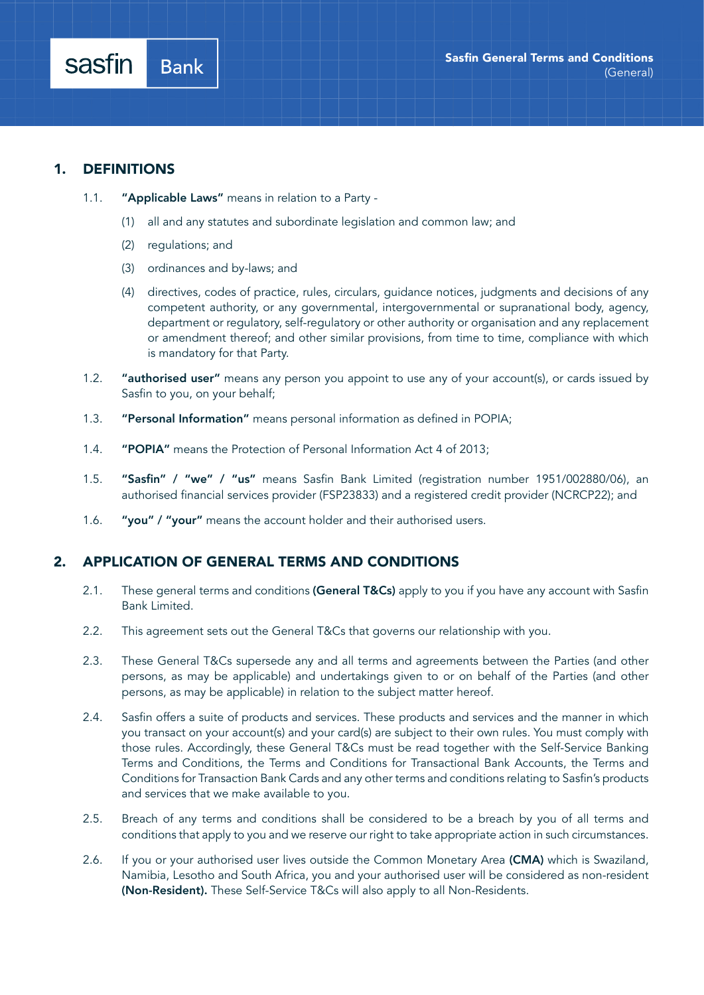sasfin

- 1.1. "Applicable Laws" means in relation to a Party -
	- (1) all and any statutes and subordinate legislation and common law; and
	- (2) regulations; and

**Bank** 

- (3) ordinances and by-laws; and
- (4) directives, codes of practice, rules, circulars, guidance notices, judgments and decisions of any competent authority, or any governmental, intergovernmental or supranational body, agency, department or regulatory, self-regulatory or other authority or organisation and any replacement or amendment thereof; and other similar provisions, from time to time, compliance with which is mandatory for that Party.
- 1.2. "authorised user" means any person you appoint to use any of your account(s), or cards issued by Sasfin to you, on your behalf;
- 1.3. "Personal Information" means personal information as defined in POPIA;
- 1.4. "POPIA" means the Protection of Personal Information Act 4 of 2013;
- 1.5. "Sasfin" / "we" / "us" means Sasfin Bank Limited (registration number 1951/002880/06), an authorised financial services provider (FSP23833) and a registered credit provider (NCRCP22); and
- 1.6. "you" / "your" means the account holder and their authorised users.

## 2. APPLICATION OF GENERAL TERMS AND CONDITIONS

- 2.1. These general terms and conditions (General T&Cs) apply to you if you have any account with Sasfin Bank Limited.
- 2.2. This agreement sets out the General T&Cs that governs our relationship with you.
- 2.3. These General T&Cs supersede any and all terms and agreements between the Parties (and other persons, as may be applicable) and undertakings given to or on behalf of the Parties (and other persons, as may be applicable) in relation to the subject matter hereof.
- 2.4. Sasfin offers a suite of products and services. These products and services and the manner in which you transact on your account(s) and your card(s) are subject to their own rules. You must comply with those rules. Accordingly, these General T&Cs must be read together with the Self-Service Banking Terms and Conditions, the Terms and Conditions for Transactional Bank Accounts, the Terms and Conditions for Transaction Bank Cards and any other terms and conditions relating to Sasfin's products and services that we make available to you.
- 2.5. Breach of any terms and conditions shall be considered to be a breach by you of all terms and conditions that apply to you and we reserve our right to take appropriate action in such circumstances.
- 2.6. If you or your authorised user lives outside the Common Monetary Area (CMA) which is Swaziland, Namibia, Lesotho and South Africa, you and your authorised user will be considered as non-resident (Non-Resident). These Self-Service T&Cs will also apply to all Non-Residents.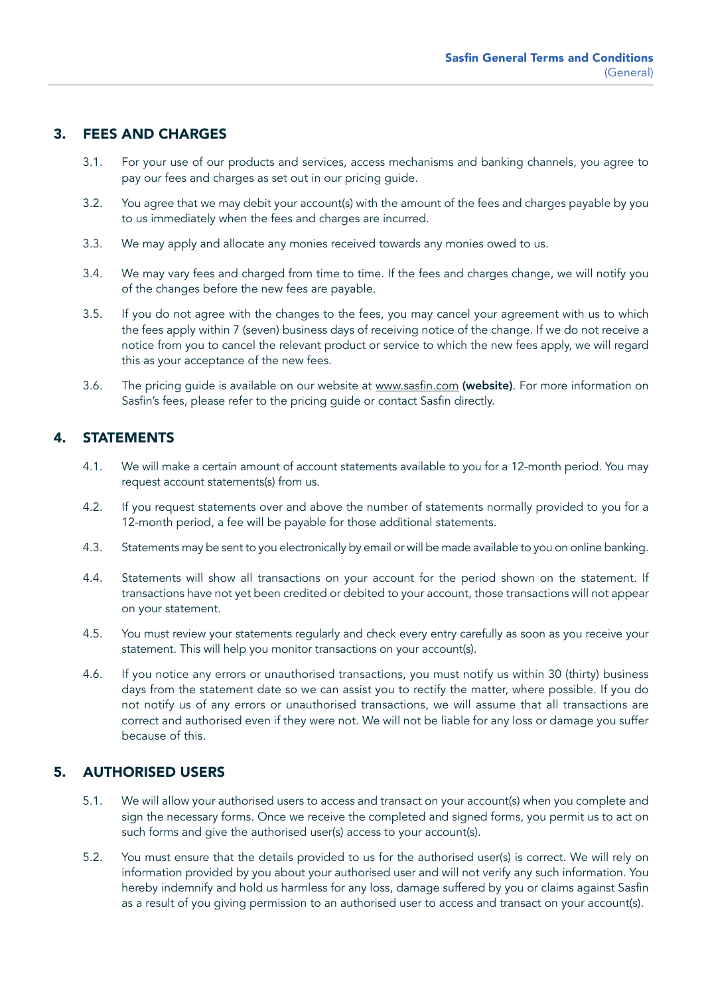# 3. FEES AND CHARGES

- 3.1. For your use of our products and services, access mechanisms and banking channels, you agree to pay our fees and charges as set out in our pricing guide.
- 3.2. You agree that we may debit your account(s) with the amount of the fees and charges payable by you to us immediately when the fees and charges are incurred.
- 3.3. We may apply and allocate any monies received towards any monies owed to us.
- 3.4. We may vary fees and charged from time to time. If the fees and charges change, we will notify you of the changes before the new fees are payable.
- 3.5. If you do not agree with the changes to the fees, you may cancel your agreement with us to which the fees apply within 7 (seven) business days of receiving notice of the change. If we do not receive a notice from you to cancel the relevant product or service to which the new fees apply, we will regard this as your acceptance of the new fees.
- 3.6. The pricing guide is available on our website at [www.sasfin.com](http://www.sasfin.com) (website). For more information on Sasfin's fees, please refer to the pricing guide or contact Sasfin directly.

## 4. STATEMENTS

- 4.1. We will make a certain amount of account statements available to you for a 12-month period. You may request account statements(s) from us.
- 4.2. If you request statements over and above the number of statements normally provided to you for a 12-month period, a fee will be payable for those additional statements.
- 4.3. Statements may be sent to you electronically by email or will be made available to you on online banking.
- 4.4. Statements will show all transactions on your account for the period shown on the statement. If transactions have not yet been credited or debited to your account, those transactions will not appear on your statement.
- 4.5. You must review your statements regularly and check every entry carefully as soon as you receive your statement. This will help you monitor transactions on your account(s).
- 4.6. If you notice any errors or unauthorised transactions, you must notify us within 30 (thirty) business days from the statement date so we can assist you to rectify the matter, where possible. If you do not notify us of any errors or unauthorised transactions, we will assume that all transactions are correct and authorised even if they were not. We will not be liable for any loss or damage you suffer because of this.

## 5. AUTHORISED USERS

- 5.1. We will allow your authorised users to access and transact on your account(s) when you complete and sign the necessary forms. Once we receive the completed and signed forms, you permit us to act on such forms and give the authorised user(s) access to your account(s).
- 5.2. You must ensure that the details provided to us for the authorised user(s) is correct. We will rely on information provided by you about your authorised user and will not verify any such information. You hereby indemnify and hold us harmless for any loss, damage suffered by you or claims against Sasfin as a result of you giving permission to an authorised user to access and transact on your account(s).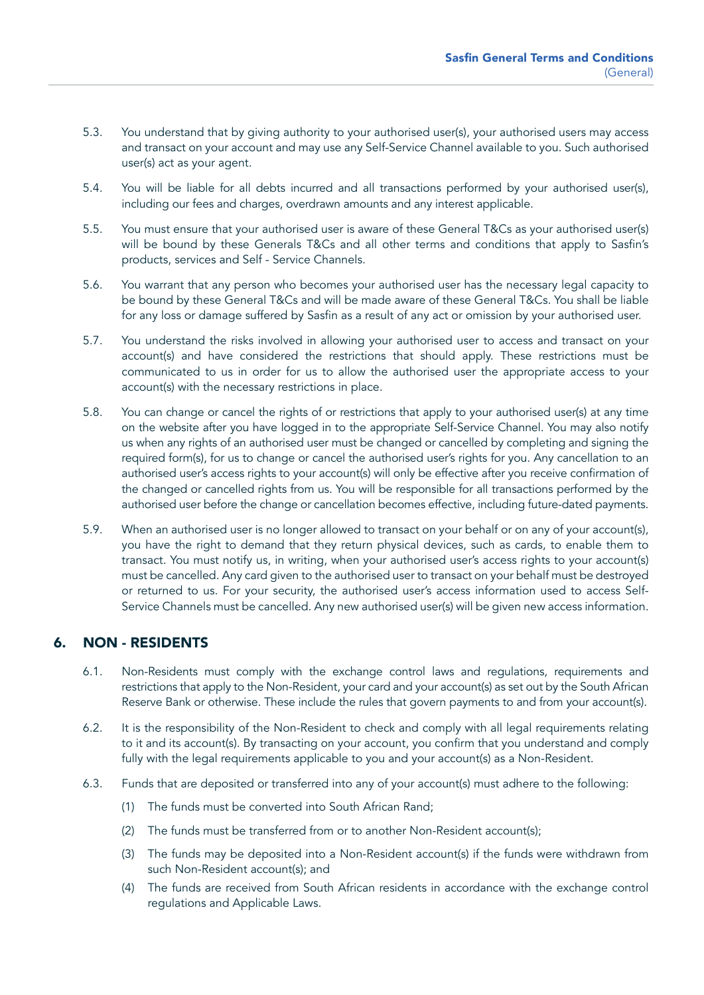- 5.3. You understand that by giving authority to your authorised user(s), your authorised users may access and transact on your account and may use any Self-Service Channel available to you. Such authorised user(s) act as your agent.
- 5.4. You will be liable for all debts incurred and all transactions performed by your authorised user(s), including our fees and charges, overdrawn amounts and any interest applicable.
- 5.5. You must ensure that your authorised user is aware of these General T&Cs as your authorised user(s) will be bound by these Generals T&Cs and all other terms and conditions that apply to Sasfin's products, services and Self - Service Channels.
- 5.6. You warrant that any person who becomes your authorised user has the necessary legal capacity to be bound by these General T&Cs and will be made aware of these General T&Cs. You shall be liable for any loss or damage suffered by Sasfin as a result of any act or omission by your authorised user.
- 5.7. You understand the risks involved in allowing your authorised user to access and transact on your account(s) and have considered the restrictions that should apply. These restrictions must be communicated to us in order for us to allow the authorised user the appropriate access to your account(s) with the necessary restrictions in place.
- 5.8. You can change or cancel the rights of or restrictions that apply to your authorised user(s) at any time on the website after you have logged in to the appropriate Self-Service Channel. You may also notify us when any rights of an authorised user must be changed or cancelled by completing and signing the required form(s), for us to change or cancel the authorised user's rights for you. Any cancellation to an authorised user's access rights to your account(s) will only be effective after you receive confirmation of the changed or cancelled rights from us. You will be responsible for all transactions performed by the authorised user before the change or cancellation becomes effective, including future-dated payments.
- 5.9. When an authorised user is no longer allowed to transact on your behalf or on any of your account(s), you have the right to demand that they return physical devices, such as cards, to enable them to transact. You must notify us, in writing, when your authorised user's access rights to your account(s) must be cancelled. Any card given to the authorised user to transact on your behalf must be destroyed or returned to us. For your security, the authorised user's access information used to access Self-Service Channels must be cancelled. Any new authorised user(s) will be given new access information.

# 6. NON - RESIDENTS

- 6.1. Non-Residents must comply with the exchange control laws and regulations, requirements and restrictions that apply to the Non-Resident, your card and your account(s) as set out by the South African Reserve Bank or otherwise. These include the rules that govern payments to and from your account(s).
- 6.2. It is the responsibility of the Non-Resident to check and comply with all legal requirements relating to it and its account(s). By transacting on your account, you confirm that you understand and comply fully with the legal requirements applicable to you and your account(s) as a Non-Resident.
- 6.3. Funds that are deposited or transferred into any of your account(s) must adhere to the following:
	- (1) The funds must be converted into South African Rand;
	- (2) The funds must be transferred from or to another Non-Resident account(s);
	- (3) The funds may be deposited into a Non-Resident account(s) if the funds were withdrawn from such Non-Resident account(s); and
	- (4) The funds are received from South African residents in accordance with the exchange control regulations and Applicable Laws.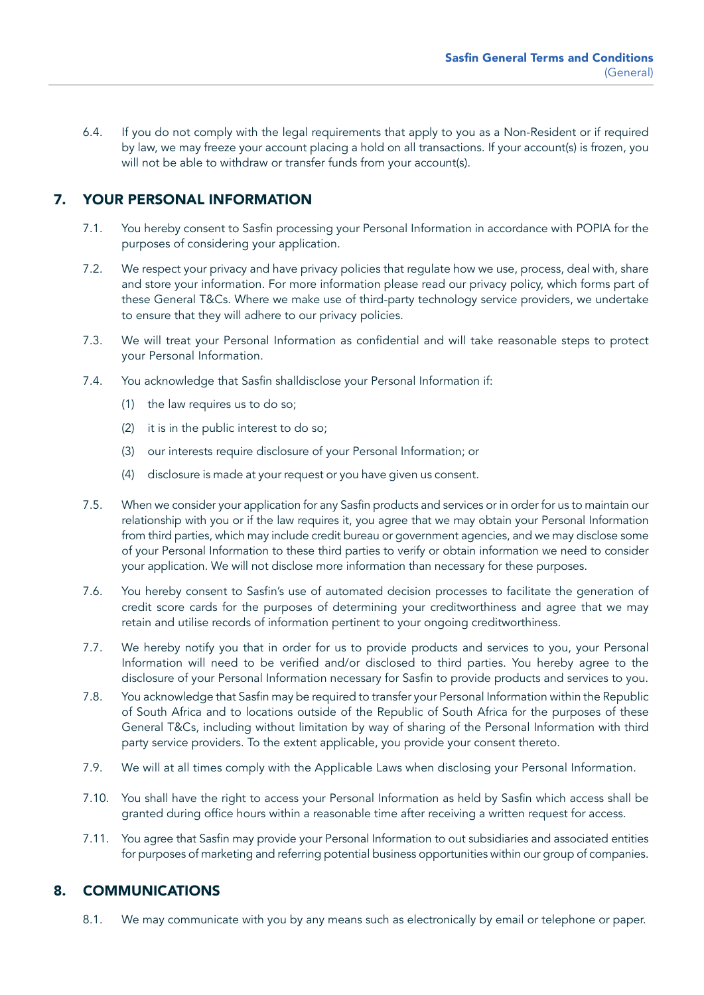6.4. If you do not comply with the legal requirements that apply to you as a Non-Resident or if required by law, we may freeze your account placing a hold on all transactions. If your account(s) is frozen, you will not be able to withdraw or transfer funds from your account(s).

# 7. YOUR PERSONAL INFORMATION

- 7.1. You hereby consent to Sasfin processing your Personal Information in accordance with POPIA for the purposes of considering your application.
- 7.2. We respect your privacy and have privacy policies that regulate how we use, process, deal with, share and store your information. For more information please read our privacy policy, which forms part of these General T&Cs. Where we make use of third-party technology service providers, we undertake to ensure that they will adhere to our privacy policies.
- 7.3. We will treat your Personal Information as confidential and will take reasonable steps to protect your Personal Information.
- 7.4. You acknowledge that Sasfin shalldisclose your Personal Information if:
	- (1) the law requires us to do so;
	- (2) it is in the public interest to do so;
	- (3) our interests require disclosure of your Personal Information; or
	- (4) disclosure is made at your request or you have given us consent.
- 7.5. When we consider your application for any Sasfin products and services or in order for us to maintain our relationship with you or if the law requires it, you agree that we may obtain your Personal Information from third parties, which may include credit bureau or government agencies, and we may disclose some of your Personal Information to these third parties to verify or obtain information we need to consider your application. We will not disclose more information than necessary for these purposes.
- 7.6. You hereby consent to Sasfin's use of automated decision processes to facilitate the generation of credit score cards for the purposes of determining your creditworthiness and agree that we may retain and utilise records of information pertinent to your ongoing creditworthiness.
- 7.7. We hereby notify you that in order for us to provide products and services to you, your Personal Information will need to be verified and/or disclosed to third parties. You hereby agree to the disclosure of your Personal Information necessary for Sasfin to provide products and services to you.
- 7.8. You acknowledge that Sasfin may be required to transfer your Personal Information within the Republic of South Africa and to locations outside of the Republic of South Africa for the purposes of these General T&Cs, including without limitation by way of sharing of the Personal Information with third party service providers. To the extent applicable, you provide your consent thereto.
- 7.9. We will at all times comply with the Applicable Laws when disclosing your Personal Information.
- 7.10. You shall have the right to access your Personal Information as held by Sasfin which access shall be granted during office hours within a reasonable time after receiving a written request for access.
- 7.11. You agree that Sasfin may provide your Personal Information to out subsidiaries and associated entities for purposes of marketing and referring potential business opportunities within our group of companies.

## 8. COMMUNICATIONS

8.1. We may communicate with you by any means such as electronically by email or telephone or paper.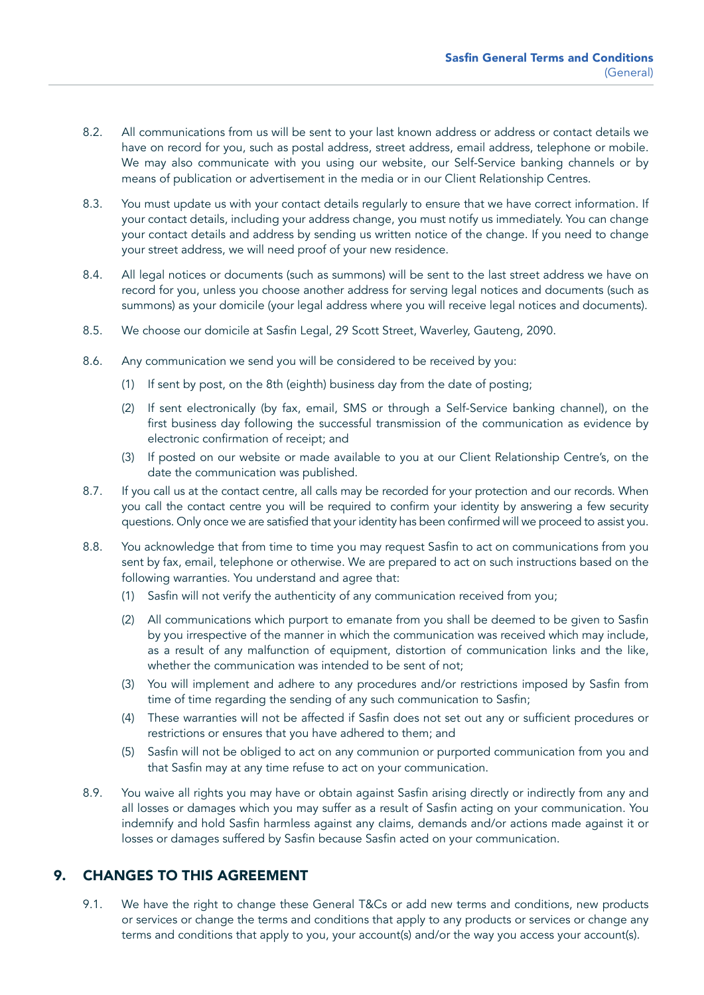- 8.2. All communications from us will be sent to your last known address or address or contact details we have on record for you, such as postal address, street address, email address, telephone or mobile. We may also communicate with you using our website, our Self-Service banking channels or by means of publication or advertisement in the media or in our Client Relationship Centres.
- 8.3. You must update us with your contact details regularly to ensure that we have correct information. If your contact details, including your address change, you must notify us immediately. You can change your contact details and address by sending us written notice of the change. If you need to change your street address, we will need proof of your new residence.
- 8.4. All legal notices or documents (such as summons) will be sent to the last street address we have on record for you, unless you choose another address for serving legal notices and documents (such as summons) as your domicile (your legal address where you will receive legal notices and documents).
- 8.5. We choose our domicile at Sasfin Legal, 29 Scott Street, Waverley, Gauteng, 2090.
- 8.6. Any communication we send you will be considered to be received by you:
	- (1) If sent by post, on the 8th (eighth) business day from the date of posting;
	- (2) If sent electronically (by fax, email, SMS or through a Self-Service banking channel), on the first business day following the successful transmission of the communication as evidence by electronic confirmation of receipt; and
	- (3) If posted on our website or made available to you at our Client Relationship Centre's, on the date the communication was published.
- 8.7. If you call us at the contact centre, all calls may be recorded for your protection and our records. When you call the contact centre you will be required to confirm your identity by answering a few security questions. Only once we are satisfied that your identity has been confirmed will we proceed to assist you.
- 8.8. You acknowledge that from time to time you may request Sasfin to act on communications from you sent by fax, email, telephone or otherwise. We are prepared to act on such instructions based on the following warranties. You understand and agree that:
	- (1) Sasfin will not verify the authenticity of any communication received from you;
	- (2) All communications which purport to emanate from you shall be deemed to be given to Sasfin by you irrespective of the manner in which the communication was received which may include, as a result of any malfunction of equipment, distortion of communication links and the like, whether the communication was intended to be sent of not;
	- (3) You will implement and adhere to any procedures and/or restrictions imposed by Sasfin from time of time regarding the sending of any such communication to Sasfin;
	- (4) These warranties will not be affected if Sasfin does not set out any or sufficient procedures or restrictions or ensures that you have adhered to them; and
	- (5) Sasfin will not be obliged to act on any communion or purported communication from you and that Sasfin may at any time refuse to act on your communication.
- 8.9. You waive all rights you may have or obtain against Sasfin arising directly or indirectly from any and all losses or damages which you may suffer as a result of Sasfin acting on your communication. You indemnify and hold Sasfin harmless against any claims, demands and/or actions made against it or losses or damages suffered by Sasfin because Sasfin acted on your communication.

## 9. CHANGES TO THIS AGREEMENT

9.1. We have the right to change these General T&Cs or add new terms and conditions, new products or services or change the terms and conditions that apply to any products or services or change any terms and conditions that apply to you, your account(s) and/or the way you access your account(s).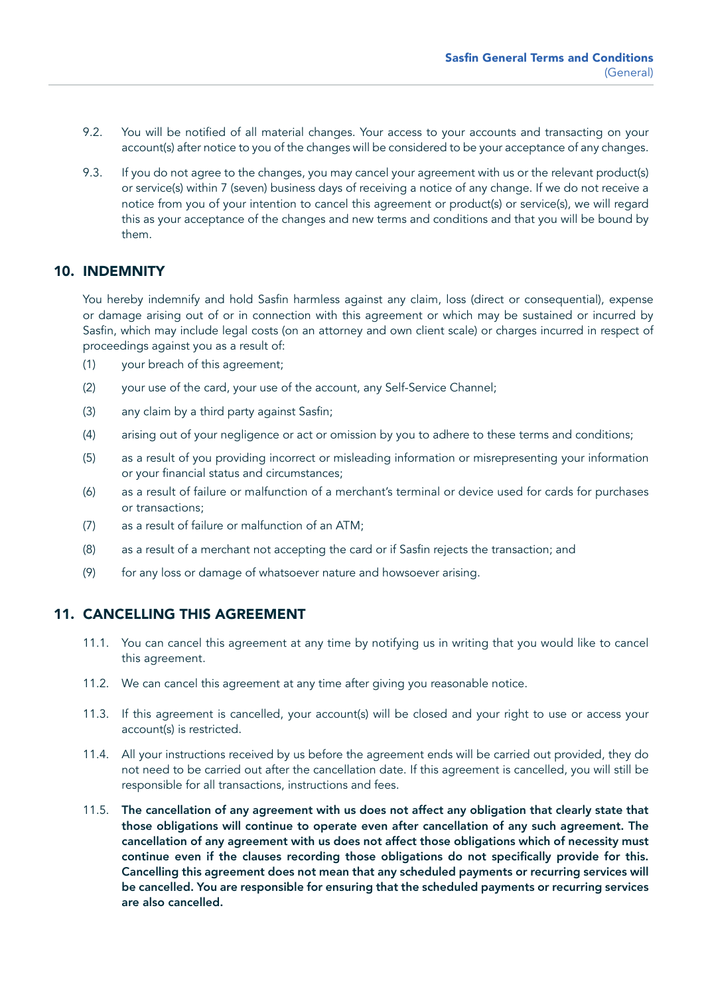- 9.2. You will be notified of all material changes. Your access to your accounts and transacting on your account(s) after notice to you of the changes will be considered to be your acceptance of any changes.
- 9.3. If you do not agree to the changes, you may cancel your agreement with us or the relevant product(s) or service(s) within 7 (seven) business days of receiving a notice of any change. If we do not receive a notice from you of your intention to cancel this agreement or product(s) or service(s), we will regard this as your acceptance of the changes and new terms and conditions and that you will be bound by them.

#### 10. INDEMNITY

You hereby indemnify and hold Sasfin harmless against any claim, loss (direct or consequential), expense or damage arising out of or in connection with this agreement or which may be sustained or incurred by Sasfin, which may include legal costs (on an attorney and own client scale) or charges incurred in respect of proceedings against you as a result of:

- (1) your breach of this agreement;
- (2) your use of the card, your use of the account, any Self-Service Channel;
- (3) any claim by a third party against Sasfin;
- (4) arising out of your negligence or act or omission by you to adhere to these terms and conditions;
- (5) as a result of you providing incorrect or misleading information or misrepresenting your information or your financial status and circumstances;
- (6) as a result of failure or malfunction of a merchant's terminal or device used for cards for purchases or transactions;
- (7) as a result of failure or malfunction of an ATM;
- (8) as a result of a merchant not accepting the card or if Sasfin rejects the transaction; and
- (9) for any loss or damage of whatsoever nature and howsoever arising.

#### 11. CANCELLING THIS AGREEMENT

- 11.1. You can cancel this agreement at any time by notifying us in writing that you would like to cancel this agreement.
- 11.2. We can cancel this agreement at any time after giving you reasonable notice.
- 11.3. If this agreement is cancelled, your account(s) will be closed and your right to use or access your account(s) is restricted.
- 11.4. All your instructions received by us before the agreement ends will be carried out provided, they do not need to be carried out after the cancellation date. If this agreement is cancelled, you will still be responsible for all transactions, instructions and fees.
- 11.5. The cancellation of any agreement with us does not affect any obligation that clearly state that those obligations will continue to operate even after cancellation of any such agreement. The cancellation of any agreement with us does not affect those obligations which of necessity must continue even if the clauses recording those obligations do not specifically provide for this. Cancelling this agreement does not mean that any scheduled payments or recurring services will be cancelled. You are responsible for ensuring that the scheduled payments or recurring services are also cancelled.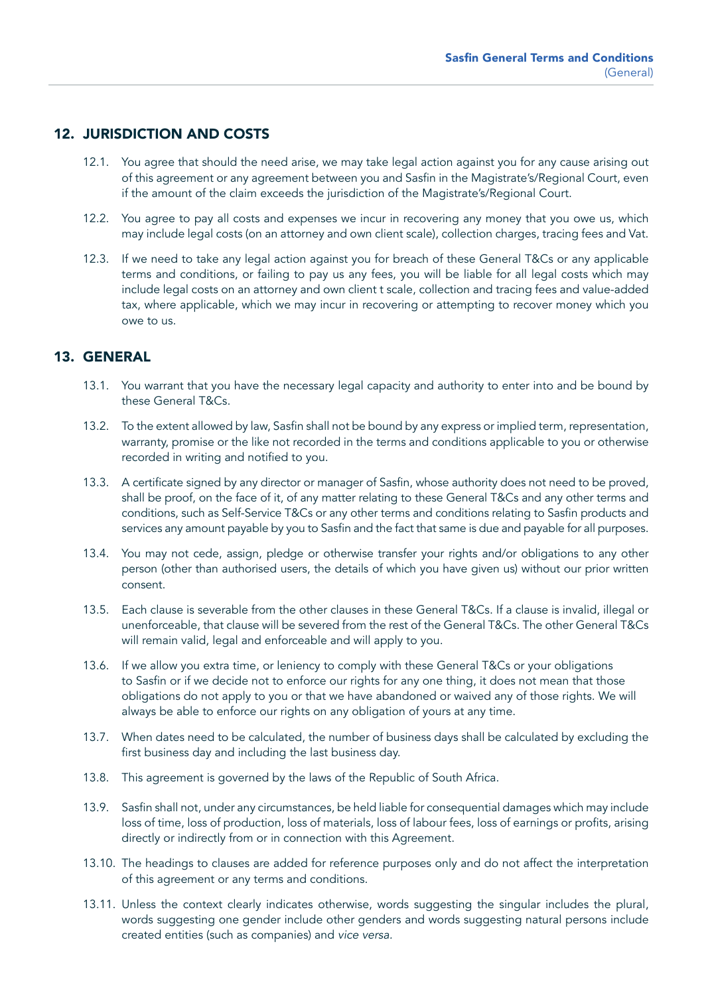# 12. JURISDICTION AND COSTS

- 12.1. You agree that should the need arise, we may take legal action against you for any cause arising out of this agreement or any agreement between you and Sasfin in the Magistrate's/Regional Court, even if the amount of the claim exceeds the jurisdiction of the Magistrate's/Regional Court.
- 12.2. You agree to pay all costs and expenses we incur in recovering any money that you owe us, which may include legal costs (on an attorney and own client scale), collection charges, tracing fees and Vat.
- 12.3. If we need to take any legal action against you for breach of these General T&Cs or any applicable terms and conditions, or failing to pay us any fees, you will be liable for all legal costs which may include legal costs on an attorney and own client t scale, collection and tracing fees and value-added tax, where applicable, which we may incur in recovering or attempting to recover money which you owe to us.

# 13. GENERAL

- 13.1. You warrant that you have the necessary legal capacity and authority to enter into and be bound by these General T&Cs.
- 13.2. To the extent allowed by law, Sasfin shall not be bound by any express or implied term, representation, warranty, promise or the like not recorded in the terms and conditions applicable to you or otherwise recorded in writing and notified to you.
- 13.3. A certificate signed by any director or manager of Sasfin, whose authority does not need to be proved, shall be proof, on the face of it, of any matter relating to these General T&Cs and any other terms and conditions, such as Self-Service T&Cs or any other terms and conditions relating to Sasfin products and services any amount payable by you to Sasfin and the fact that same is due and payable for all purposes.
- 13.4. You may not cede, assign, pledge or otherwise transfer your rights and/or obligations to any other person (other than authorised users, the details of which you have given us) without our prior written consent.
- 13.5. Each clause is severable from the other clauses in these General T&Cs. If a clause is invalid, illegal or unenforceable, that clause will be severed from the rest of the General T&Cs. The other General T&Cs will remain valid, legal and enforceable and will apply to you.
- 13.6. If we allow you extra time, or leniency to comply with these General T&Cs or your obligations to Sasfin or if we decide not to enforce our rights for any one thing, it does not mean that those obligations do not apply to you or that we have abandoned or waived any of those rights. We will always be able to enforce our rights on any obligation of yours at any time.
- 13.7. When dates need to be calculated, the number of business days shall be calculated by excluding the first business day and including the last business day.
- 13.8. This agreement is governed by the laws of the Republic of South Africa.
- 13.9. Sasfin shall not, under any circumstances, be held liable for consequential damages which may include loss of time, loss of production, loss of materials, loss of labour fees, loss of earnings or profits, arising directly or indirectly from or in connection with this Agreement.
- 13.10. The headings to clauses are added for reference purposes only and do not affect the interpretation of this agreement or any terms and conditions.
- 13.11. Unless the context clearly indicates otherwise, words suggesting the singular includes the plural, words suggesting one gender include other genders and words suggesting natural persons include created entities (such as companies) and *vice versa.*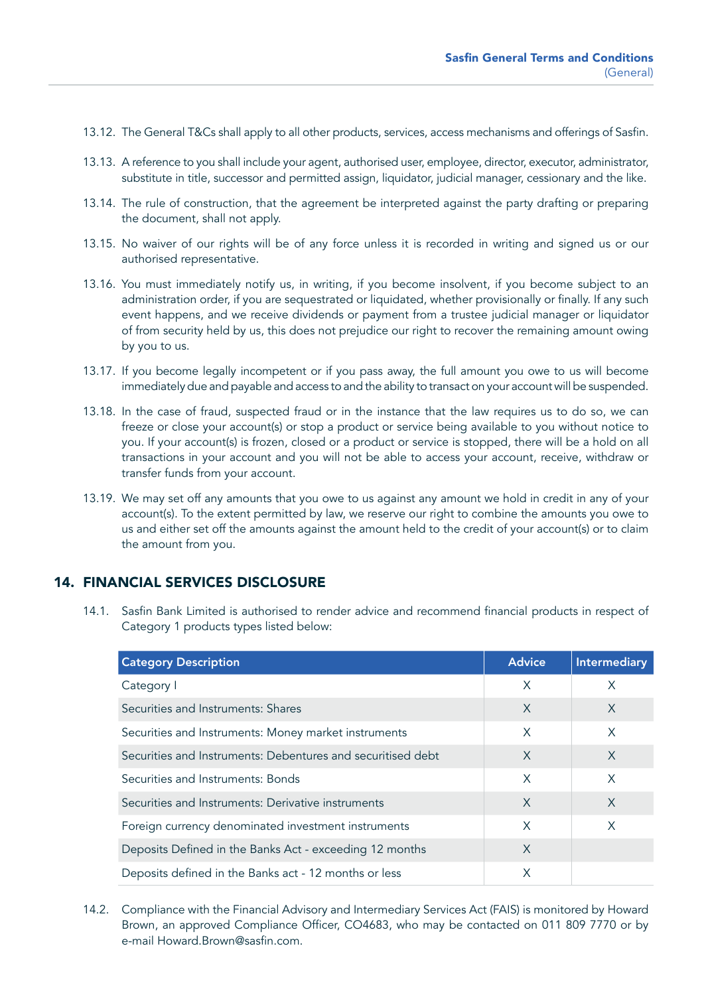- 13.12. The General T&Cs shall apply to all other products, services, access mechanisms and offerings of Sasfin.
- 13.13. A reference to you shall include your agent, authorised user, employee, director, executor, administrator, substitute in title, successor and permitted assign, liquidator, judicial manager, cessionary and the like.
- 13.14. The rule of construction, that the agreement be interpreted against the party drafting or preparing the document, shall not apply.
- 13.15. No waiver of our rights will be of any force unless it is recorded in writing and signed us or our authorised representative.
- 13.16. You must immediately notify us, in writing, if you become insolvent, if you become subject to an administration order, if you are sequestrated or liquidated, whether provisionally or finally. If any such event happens, and we receive dividends or payment from a trustee judicial manager or liquidator of from security held by us, this does not prejudice our right to recover the remaining amount owing by you to us.
- 13.17. If you become legally incompetent or if you pass away, the full amount you owe to us will become immediately due and payable and access to and the ability to transact on your account will be suspended.
- 13.18. In the case of fraud, suspected fraud or in the instance that the law requires us to do so, we can freeze or close your account(s) or stop a product or service being available to you without notice to you. If your account(s) is frozen, closed or a product or service is stopped, there will be a hold on all transactions in your account and you will not be able to access your account, receive, withdraw or transfer funds from your account.
- 13.19. We may set off any amounts that you owe to us against any amount we hold in credit in any of your account(s). To the extent permitted by law, we reserve our right to combine the amounts you owe to us and either set off the amounts against the amount held to the credit of your account(s) or to claim the amount from you.

#### 14. FINANCIAL SERVICES DISCLOSURE

14.1. Sasfin Bank Limited is authorised to render advice and recommend financial products in respect of Category 1 products types listed below:

| <b>Category Description</b>                                 | <b>Advice</b> | <b>Intermediary</b> |
|-------------------------------------------------------------|---------------|---------------------|
| Category I                                                  | X             | X                   |
| Securities and Instruments: Shares                          | $\times$      | $\times$            |
| Securities and Instruments: Money market instruments        | X             | X                   |
| Securities and Instruments: Debentures and securitised debt | $\times$      | $\times$            |
| Securities and Instruments: Bonds                           | X             | $\times$            |
| Securities and Instruments: Derivative instruments          | $\times$      | $\times$            |
| Foreign currency denominated investment instruments         | X             | X                   |
| Deposits Defined in the Banks Act - exceeding 12 months     | X             |                     |
| Deposits defined in the Banks act - 12 months or less       | X             |                     |

14.2. Compliance with the Financial Advisory and Intermediary Services Act (FAIS) is monitored by Howard Brown, an approved Compliance Officer, CO4683, who may be contacted on 011 809 7770 or by e-mail Howard.Brown@sasfin.com.